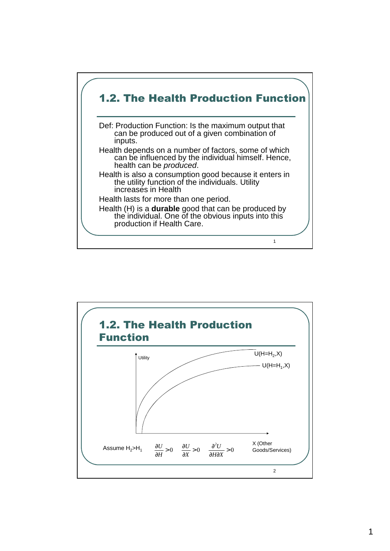

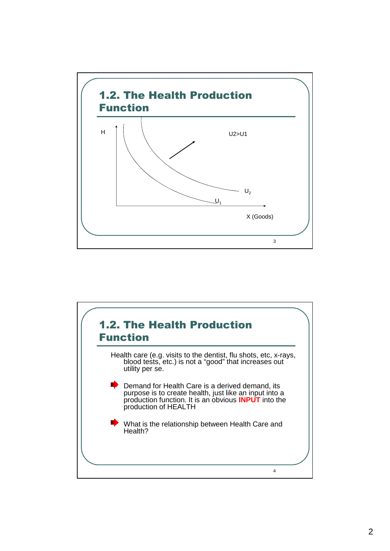

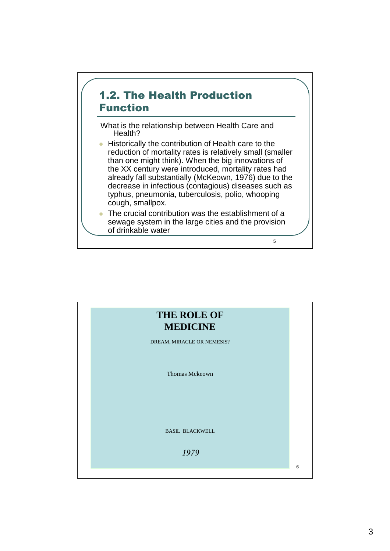

What is the relationship between Health Care and Health?

**• Historically the contribution of Health care to the** reduction of mortality rates is relatively small (smaller than one might think). When the big innovations of the XX century were introduced, mortality rates had already fall substantially (McKeown, 1976) due to the decrease in infectious (contagious) diseases such as typhus, pneumonia, tuberculosis, polio, whooping cough, smallpox.

• The crucial contribution was the establishment of a sewage system in the large cities and the provision of drinkable water

5

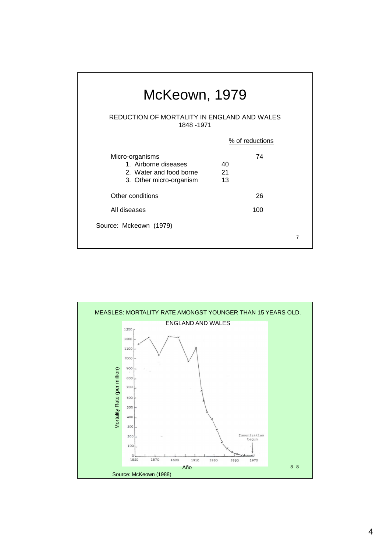| McKeown, 1979                                                                                 |                |                 |   |  |  |  |  |  |
|-----------------------------------------------------------------------------------------------|----------------|-----------------|---|--|--|--|--|--|
| REDUCTION OF MORTALITY IN ENGLAND AND WALES<br>1848 - 1971                                    |                |                 |   |  |  |  |  |  |
|                                                                                               |                | % of reductions |   |  |  |  |  |  |
| Micro-organisms<br>1. Airborne diseases<br>2. Water and food borne<br>3. Other micro-organism | 40<br>21<br>13 | 74              |   |  |  |  |  |  |
| Other conditions                                                                              |                | 26              |   |  |  |  |  |  |
| All diseases                                                                                  |                | 100             |   |  |  |  |  |  |
| Source: Mckeown (1979)                                                                        |                |                 | 7 |  |  |  |  |  |

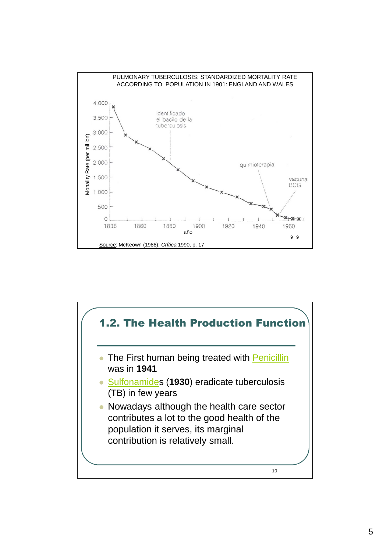

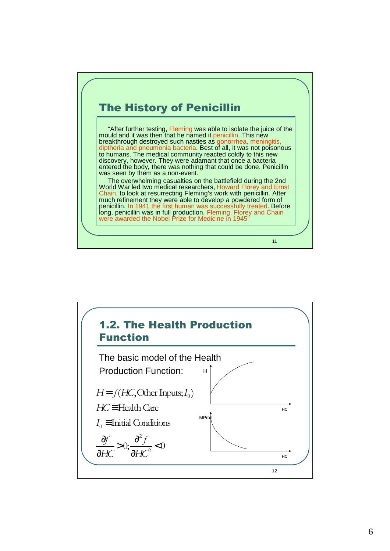## The History of Penicillin

"After further testing, Fleming was able to isolate the juice of the mould and it was then that he named it penicillin. This new breakthrough destroyed such nasties as gonorrhea, meningitis, diptheria and pneumonia bacteria. Best of all, it was not poisonous to humans. The medical community reacted coldly to this new discovery, however. They were adamant that once a bacteria entered the body, there was nothing that could be done. Penicillin was seen by them as a non-event.

The overwhelming casualties on the battlefield during the 2nd World War led two medical researchers, Howard Florey and Ernst Chain, to look at resurrecting Fleming's work with penicillin. After much refinement they were able to develop a powdered form of penicillin. In 1941 the first human was successfully treated. Before long, penicillin was in full production. Fleming, Florey and Chain were awarded the Nobel Prize for Medicine in 1945

11

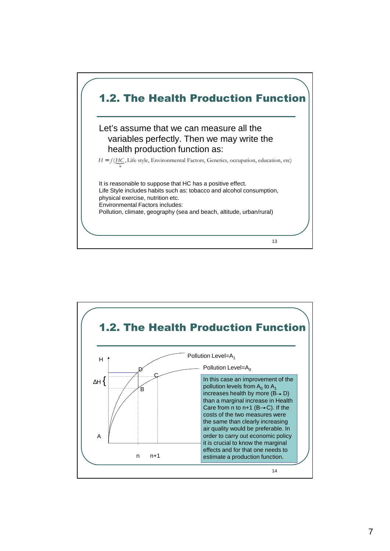

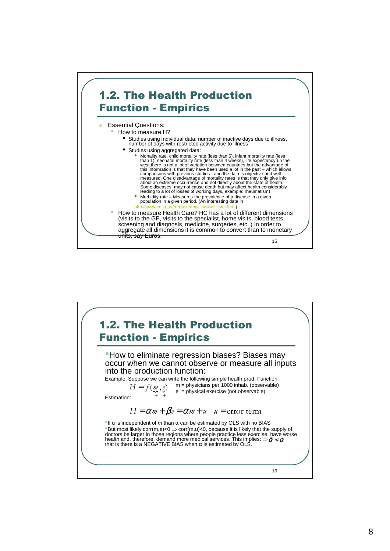

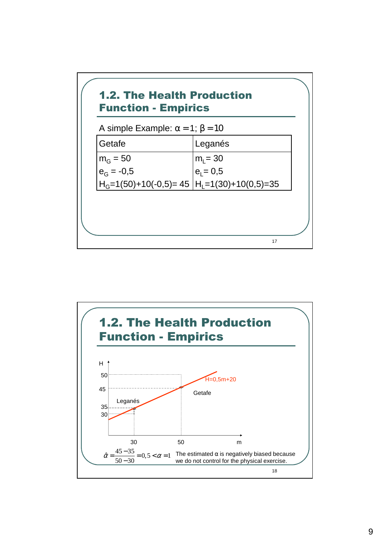

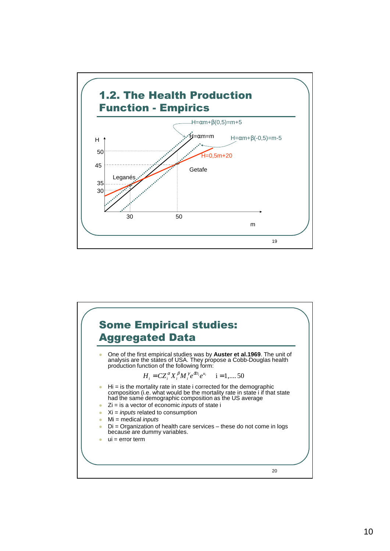

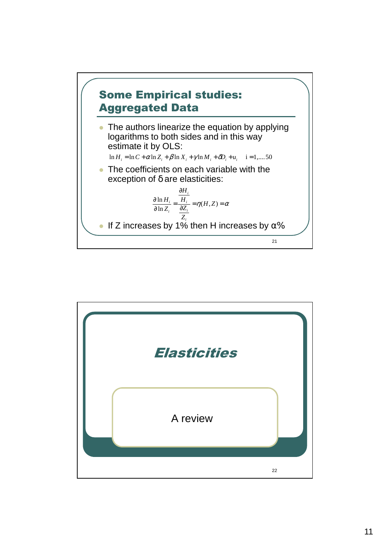

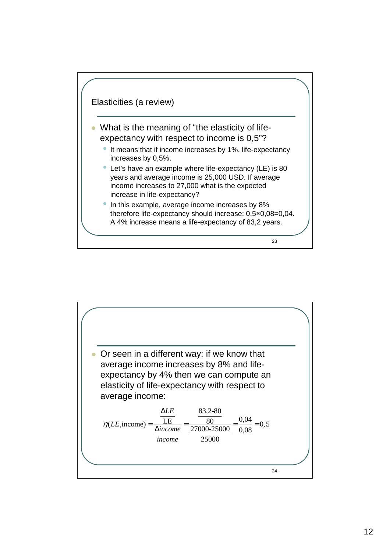

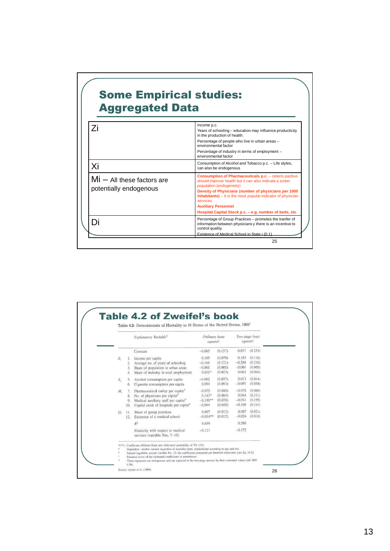## Some Empirical studies: Aggregated Data

| Consumption of Alcohol and Tobacco p.c. - Life styles,<br>can also be endogenous<br><b>Consumption of Pharmaceuticals p.c.</b> - ceteris paribus<br>should improve health but it can also indicate a sicker<br>population (endogeneity) |
|-----------------------------------------------------------------------------------------------------------------------------------------------------------------------------------------------------------------------------------------|
|                                                                                                                                                                                                                                         |
| Density of Physicians (number of physicians per 1000<br><b>inhabitants)</b> – It is the most popular indicator of physician<br>services.<br><b>Auxiliary Personnel</b><br>Hospital Capital Stock p.c. - e.g. number of beds, etc.       |
| Percentage of Group Practices - promotes the tranfer of<br>information between physicians y there is an incentive to<br>control quality.<br>Existence of Medical School in State i (0.1)                                                |
|                                                                                                                                                                                                                                         |

|             |                       | Explanatory Variable®                                                                                                                                                                               | Ordinary least<br>squares'                     |                                          | squares'                                  | Two-stage least                          |
|-------------|-----------------------|-----------------------------------------------------------------------------------------------------------------------------------------------------------------------------------------------------|------------------------------------------------|------------------------------------------|-------------------------------------------|------------------------------------------|
|             |                       | Constant                                                                                                                                                                                            | $-0.065$                                       | (0.157)                                  | 0.037                                     | (0.251)                                  |
| $Z_{i}$     | -11<br>2.<br>3.<br>4. | Income per capita<br>Average no. of years of schooling<br>Share of population in urban areas<br>Share of industry in total employment                                                               | 0.105<br>$-0.161$<br>$-0.001$<br>$0.051*$      | (0.079)<br>(0.121)<br>(0.005)<br>(0.023) | 0.183<br>$-0.288$<br>$-0.001$<br>0.042    | (0.116)<br>(0.216)<br>(0.005)<br>(0.040) |
| $X_{i}$     | 5.<br>6.              | Alcohol consumption per capita<br>Cigarette consumption per capita                                                                                                                                  | $-0.002$<br>0.094                              | (0.037)<br>(0.053)                       | 0.013<br>$-0.097$                         | (0.044)<br>(0.058)                       |
| $M_{\odot}$ | 7.<br>8.<br>9.<br>10. | Pharmaceutical outlay per capita <sup>a</sup><br>No. of physicians per capita <sup>d</sup><br>Medical auxiliary staff per capita <sup>d</sup><br>Capital stock of hospitals per capita <sup>d</sup> | $-0.070$<br>$0.143*$<br>$-0.190**$<br>$-0.004$ | (0.040)<br>(0.064)<br>(0.076)<br>(0.048) | $-0.076$<br>0.044<br>$-0.031$<br>$-0.109$ | (0.066)<br>(0.111)<br>(0.195)<br>(0.141) |
| D.          | 11.                   | Share of group practices<br>12. Existence of a medical school                                                                                                                                       | 0.007<br>$-0.034**$                            | (0.012)<br>(0.012)                       | 0.007<br>$-0.024$                         | (0.021)<br>(0.019)                       |
|             |                       | $R^2$                                                                                                                                                                                               | 0.639                                          |                                          | 0.586                                     |                                          |
|             |                       | Elasticity with respect to medical<br>services (variable Nos. 7-10)                                                                                                                                 | $-0.121$                                       |                                          | $-0.172$                                  |                                          |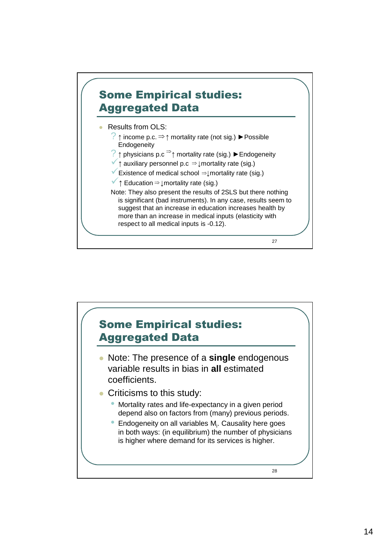

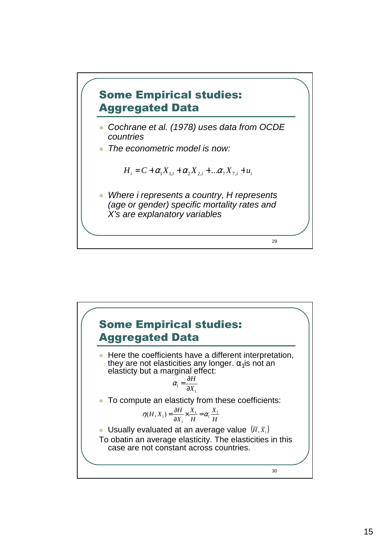

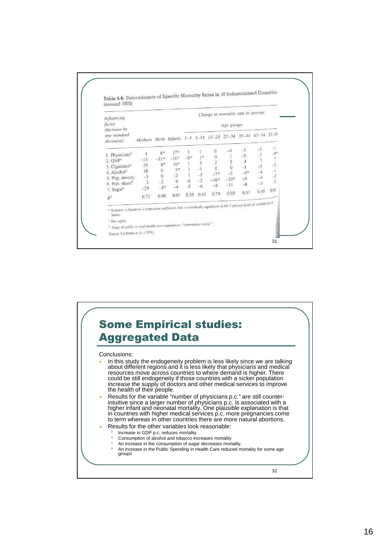

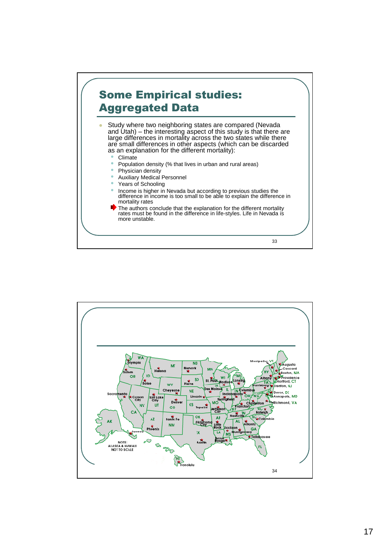

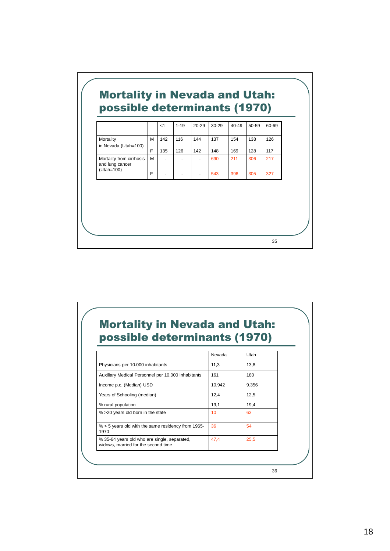|                                                      |            |     |     | 60-69 |
|------------------------------------------------------|------------|-----|-----|-------|
| M<br>142<br>Mortality<br>116<br>in Nevada (Utah=100) | 144<br>137 | 154 | 138 | 126   |
| F<br>135<br>126                                      | 148<br>142 | 169 | 128 | 117   |
| Mortality from cirrhosis<br>м<br>and lung cancer     | 690        | 211 | 306 | 217   |
| F                                                    | 543        | 396 | 305 | 327   |
| (Utah=100)                                           |            |     |     |       |

## Mortality in Nevada and Utah: possible determinants (1970)

|                                                                                     | Nevada | Utah  |  |
|-------------------------------------------------------------------------------------|--------|-------|--|
| Physicians per 10.000 inhabitants                                                   | 11,3   | 13,8  |  |
| Auxiliary Medical Personnel per 10.000 inhabitants                                  | 161    | 180   |  |
| Income p.c. (Median) USD                                                            | 10.942 | 9.356 |  |
| Years of Schooling (median)                                                         | 12,4   | 12,5  |  |
| % rural population                                                                  | 19,1   | 19,4  |  |
| % > 20 years old born in the state                                                  | 10     | 63    |  |
| $% > 5$ years old with the same residency from 1965-<br>1970                        | 36     | 54    |  |
| % 35-64 years old who are single, separated,<br>widows, married for the second time | 47,4   | 25,5  |  |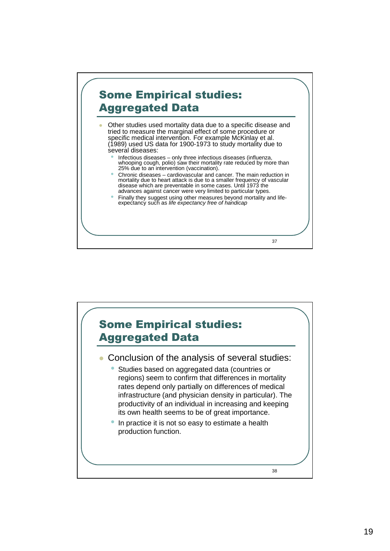